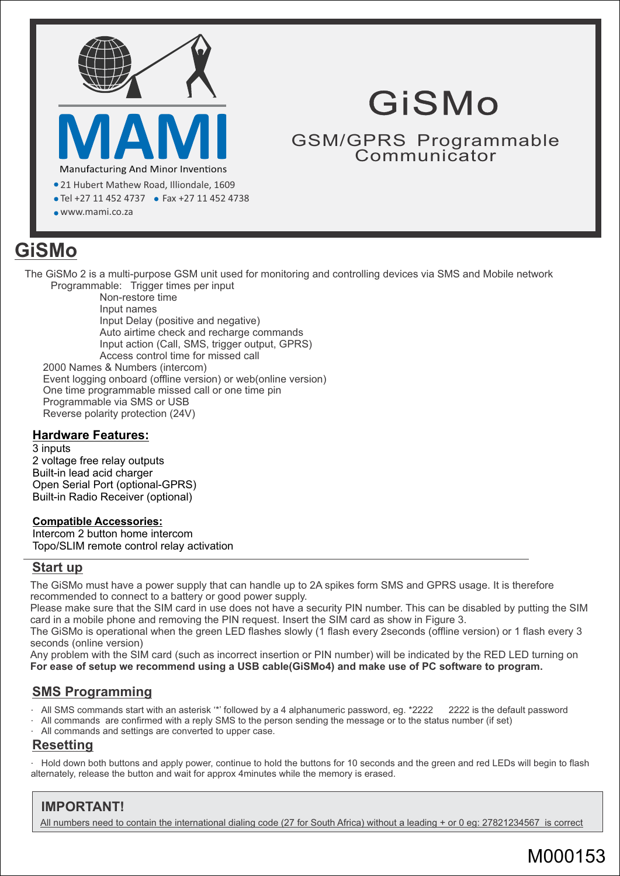

# GiSMo

GSM/GPRS Programmable Communicator

- 21 Hubert Mathew Road, Illiondale, 1609
- Tel +27 11 452 4737 Fax +27 11 452 4738
- www.mami.co.za

# **GiSMo**

The GiSMo 2 is a multi-purpose GSM unit used for monitoring and controlling devices via SMS and Mobile network Programmable: Trigger times per input

One time programmable missed call or one time pin 2000 Names & Numbers (intercom) Non-restore time Event logging onboard (offline version) or web(online version) Input names Input action (Call, SMS, trigger output, GPRS) Access control time for missed call Input Delay (positive and negative) Auto airtime check and recharge commands

Reverse polarity protection (24V)

### **Hardware Features:**

3 inputs 2 voltage free relay outputs Built-in lead acid charger Open Serial Port (optional-GPRS) Built-in Radio Receiver (optional)

Programmable via SMS or USB

### **Compatible Accessories:**

Intercom 2 button home intercom Topo/SLIM remote control relay activation

# **Start up**

The GiSMo must have a power supply that can handle up to 2A spikes form SMS and GPRS usage. It is therefore recommended to connect to a battery or good power supply.

Please make sure that the SIM card in use does not have a security PIN number. This can be disabled by putting the SIM card in a mobile phone and removing the PIN request. Insert the SIM card as show in Figure 3.

The GiSMo is operational when the green LED flashes slowly (1 flash every 2seconds (offline version) or 1 flash every 3 seconds (online version)

**For ease of setup we recommend using a USB cable(GiSMo4) and make use of PC software to program.** Any problem with the SIM card (such as incorrect insertion or PIN number) will be indicated by the RED LED turning on

# **SMS Programming**

- All SMS commands start with an asterisk '\*' followed by a 4 alphanumeric password, eg. \*2222 2222 is the default password
- All commands are confirmed with a reply SMS to the person sending the message or to the status number (if set)
- All commands and settings are converted to upper case.

# **Resetting**

ž Hold down both buttons and apply power, continue to hold the buttons for 10 seconds and the green and red LEDs will begin to flash alternately, release the button and wait for approx 4minutes while the memory is erased.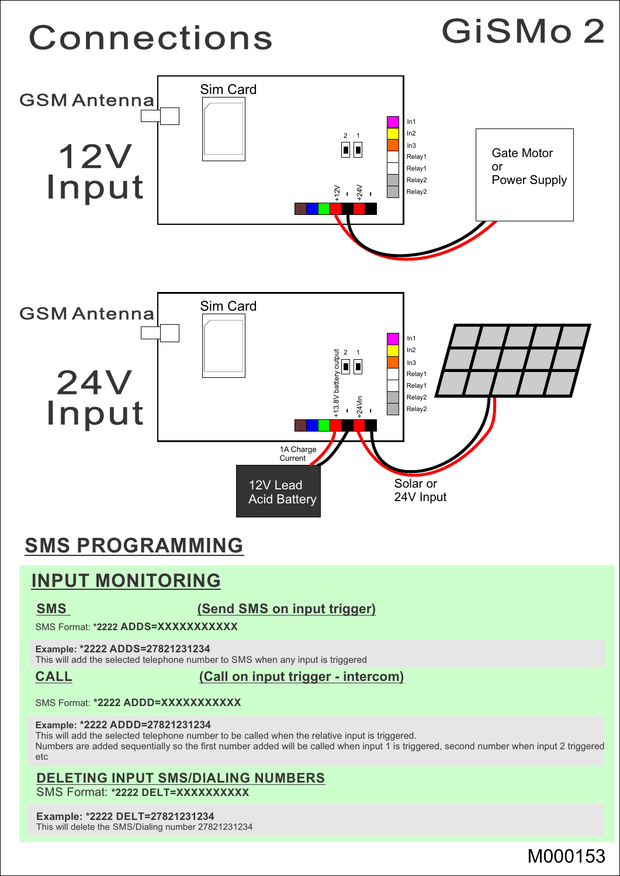# **Connections**





# **SMS PROGRAMMING**

# **INPUT MONITORING**

**SMS** (Send SMS on input trigger)

SMS Format: **\*2222 ADDS=XXXXXXXXXXX**

### **Example: \*2222 ADDS=27821231234**

This will add the selected telephone number to SMS when any input is triggered

**CALL (Call on input trigger - intercom)**

SMS Format: **\*2222 ADDD=XXXXXXXXXXX** 

#### **Example: \*2222 ADDD=27821231234**

This will add the selected telephone number to be called when the relative input is triggered. Numbers are added sequentially so the first number added will be called when input 1 is triggered, second number when input 2 triggered etc

# **DELETING INPUT SMS/DIALING NUMBERS**

SMS Format: **\*2222 DELT=XXXXXXXXXX** 

#### **Example: \*2222 DELT=27821231234**

This will delete the SMS/Dialing number 27821231234

# M000153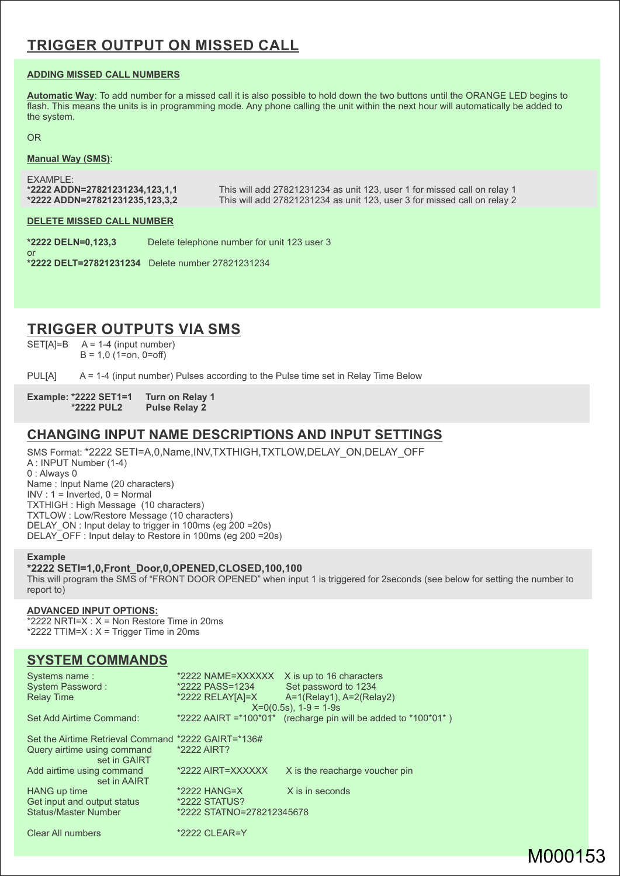# **TRIGGER OUTPUT ON MISSED CALL**

#### **ADDING MISSED CALL NUMBERS**

**Automatic Way**: To add number for a missed call it is also possible to hold down the two buttons until the ORANGE LED begins to flash. This means the units is in programming mode. Any phone calling the unit within the next hour will automatically be added to the system.

#### OR

or

#### **Manual Way (SMS)**:

**\*2222 ADDN=27821231234,123,1,1** This will add 27821231234 as unit 123, user 1 for missed call on relay 1 EXAMPLE: This will add 27821231234 as unit 123, user 3 for missed call on relay 2

#### **DELETE MISSED CALL NUMBER**

**\*2222 DELN=0,123,3** Delete telephone number for unit 123 user 3

**\*2222 DELT=27821231234** Delete number 27821231234

# **TRIGGER OUTPUTS VIA SMS**

 $SET[A]=B$   $A = 1-4$  (input number)  $B = 1,0$  (1=on, 0=off)

PUL[A] A = 1-4 (input number) Pulses according to the Pulse time set in Relay Time Below

#### **Example: \*2222 SET1=1 Turn on Relay 1 \*2222 PUL2 Pulse Relay 2**

### **CHANGING INPUT NAME DESCRIPTIONS AND INPUT SETTINGS**

 $INV : 1 = Inverted, 0 = Normal$ DELAY ON : Input delay to trigger in 100ms (eg 200 =20s) TXTHIGH : High Message (10 characters) 0 : Always 0 Name : Input Name (20 characters) A : INPUT Number (1-4) DELAY\_OFF : Input delay to Restore in 100ms (eg 200 =20s) SMS Format: \*2222 SETI=A,0,Name,INV,TXTHIGH,TXTLOW,DELAY\_ON,DELAY\_OFF TXTLOW : Low/Restore Message (10 characters)

#### **Example**

#### This will program the SMS of "FRONT DOOR OPENED" when input 1 is triggered for 2seconds (see below for setting the number to report to) **\*2222 SETI=1,0,Front\_Door,0,OPENED,CLOSED,100,100**

### **ADVANCED INPUT OPTIONS:**

 $*2222$  NRTI=X :  $X =$  Non Restore Time in 20ms \*2222 TTIM=X :  $X =$  Trigger Time in 20ms

### **SYSTEM COMMANDS**

| Systems name:<br><b>System Password:</b><br><b>Relay Time</b>                                      | *2222 NAME=XXXXXX<br>*2222 PASS=1234<br>*2222 RELAY[A]=X | X is up to 16 characters<br>Set password to 1234<br>$A=1(Relav1), A=2(Relav2)$<br>$X=0(0.5s)$ , $1-9=1-9s$ |
|----------------------------------------------------------------------------------------------------|----------------------------------------------------------|------------------------------------------------------------------------------------------------------------|
| Set Add Airtime Command:                                                                           | *2222 AAIRT = $*100*01*$                                 | (recharge pin will be added to *100*01*)                                                                   |
| Set the Airtime Retrieval Command *2222 GAIRT=*136#<br>Query airtime using command<br>set in GAIRT | *2222 AIRT?                                              |                                                                                                            |
| Add airtime using command<br>set in AAIRT                                                          | *2222 AIRT=XXXXXX                                        | X is the reacharge voucher pin                                                                             |
| HANG up time                                                                                       | $*2222$ HANG=X                                           | X is in seconds                                                                                            |
| Get input and output status                                                                        | *2222 STATUS?                                            |                                                                                                            |
| <b>Status/Master Number</b>                                                                        | *2222 STATNO=278212345678                                |                                                                                                            |
| <b>Clear All numbers</b>                                                                           | *2222 CLEAR=Y                                            |                                                                                                            |

# M000153